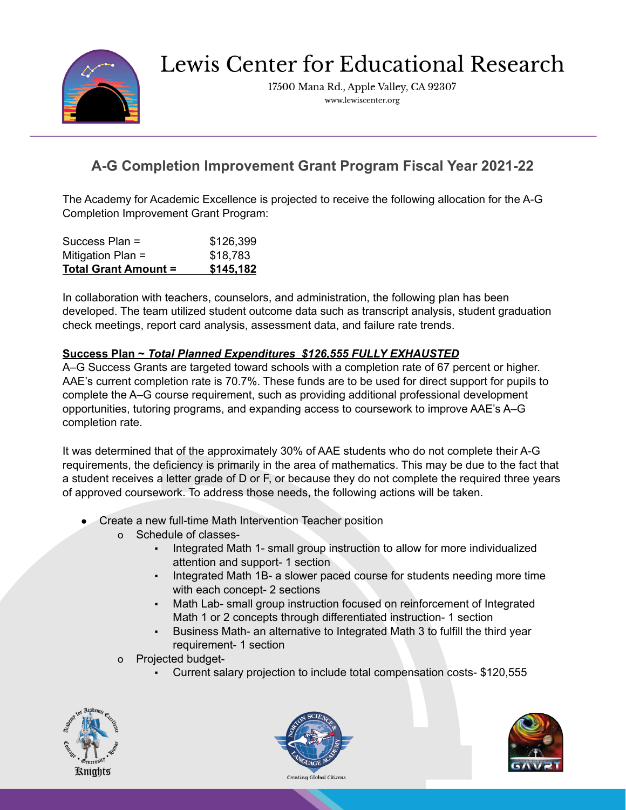

Lewis Center for Educational Research

17500 Mana Rd., Apple Valley, CA 92307 www.lewiscenter.org

## **A-G Completion Improvement Grant Program Fiscal Year 2021-22**

The Academy for Academic Excellence is projected to receive the following allocation for the A-G Completion Improvement Grant Program:

| Success Plan =              | \$126,399 |
|-----------------------------|-----------|
| Mitigation Plan =           | \$18,783  |
| <b>Total Grant Amount =</b> | \$145,182 |

In collaboration with teachers, counselors, and administration, the following plan has been developed. The team utilized student outcome data such as transcript analysis, student graduation check meetings, report card analysis, assessment data, and failure rate trends.

## **Success Plan ~** *Total Planned Expenditures \$126,555 FULLY EXHAUSTED*

A–G Success Grants are targeted toward schools with a completion rate of 67 percent or higher. AAE's current completion rate is 70.7%. These funds are to be used for direct support for pupils to complete the A–G course requirement, such as providing additional professional development opportunities, tutoring programs, and expanding access to coursework to improve AAE's A–G completion rate.

It was determined that of the approximately 30% of AAE students who do not complete their A-G requirements, the deficiency is primarily in the area of mathematics. This may be due to the fact that a student receives a letter grade of D or F, or because they do not complete the required three years of approved coursework. To address those needs, the following actions will be taken.

- Create a new full-time Math Intervention Teacher position
	- o Schedule of classes-
		- Integrated Math 1- small group instruction to allow for more individualized attention and support- 1 section
		- Integrated Math 1B- a slower paced course for students needing more time with each concept- 2 sections
		- Math Lab- small group instruction focused on reinforcement of Integrated Math 1 or 2 concepts through differentiated instruction- 1 section
		- Business Math- an alternative to Integrated Math 3 to fulfill the third year requirement- 1 section
	- o Projected budget-
		- Current salary projection to include total compensation costs- \$120,555